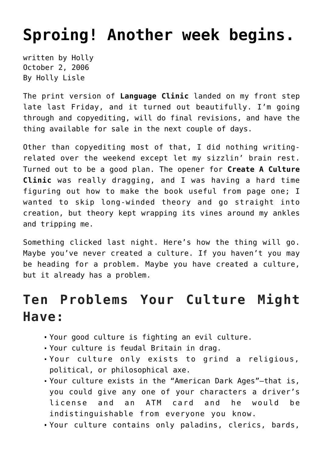## **[Sproing! Another week begins.](https://hollylisle.com/sproing-another-week-begins/)**

written by Holly October 2, 2006 [By Holly Lisle](https://hollylisle.com)

The print version of **Language Clinic** landed on my front step late last Friday, and it turned out beautifully. I'm going through and copyediting, will do final revisions, and have the thing available for sale in the next couple of days.

Other than copyediting most of that, I did nothing writingrelated over the weekend except let my sizzlin' brain rest. Turned out to be a good plan. The opener for **Create A Culture Clinic** was really dragging, and I was having a hard time figuring out how to make the book useful from page one; I wanted to skip long-winded theory and go straight into creation, but theory kept wrapping its vines around my ankles and tripping me.

Something clicked last night. Here's how the thing will go. Maybe you've never created a culture. If you haven't you may be heading for a problem. Maybe you have created a culture, but it already has a problem.

## **Ten Problems Your Culture Might Have:**

- Your good culture is fighting an evil culture.
- Your culture is feudal Britain in drag.
- Your culture only exists to grind a religious, political, or philosophical axe.
- Your culture exists in the "American Dark Ages"—that is, you could give any one of your characters a driver's license and an ATM card and he would be indistinguishable from everyone you know.
- Your culture contains only paladins, clerics, bards,